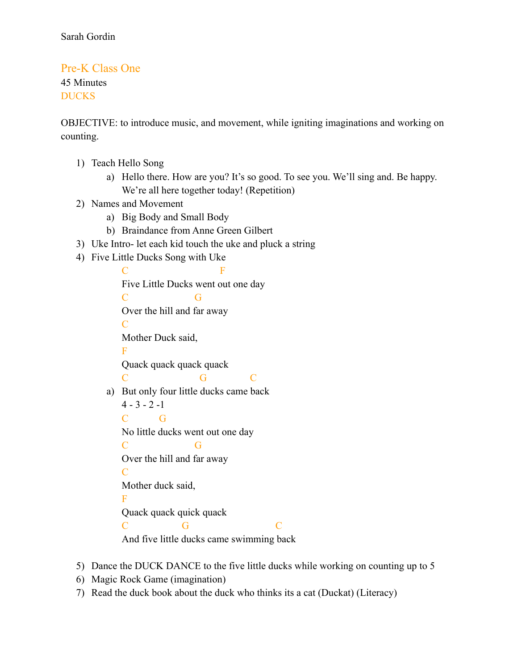## Pre-K Class One 45 Minutes DUCKS

OBJECTIVE: to introduce music, and movement, while igniting imaginations and working on counting.

- 1) Teach Hello Song
	- a) Hello there. How are you? It's so good. To see you. We'll sing and. Be happy. We're all here together today! (Repetition)
- 2) Names and Movement
	- a) Big Body and Small Body
	- b) Braindance from Anne Green Gilbert
- 3) Uke Intro- let each kid touch the uke and pluck a string
- 4) Five Little Ducks Song with Uke

 $\bf C$  F Five Little Ducks went out one day C G Over the hill and far away  $\mathcal{C}$ Mother Duck said, F Quack quack quack quack C G C a) But only four little ducks came back  $4 - 3 - 2 -1$ C G No little ducks went out one day C G Over the hill and far away  $\mathcal{C}$ Mother duck said, F Quack quack quick quack C G C And five little ducks came swimming back

- 5) Dance the DUCK DANCE to the five little ducks while working on counting up to 5
- 6) Magic Rock Game (imagination)
- 7) Read the duck book about the duck who thinks its a cat (Duckat) (Literacy)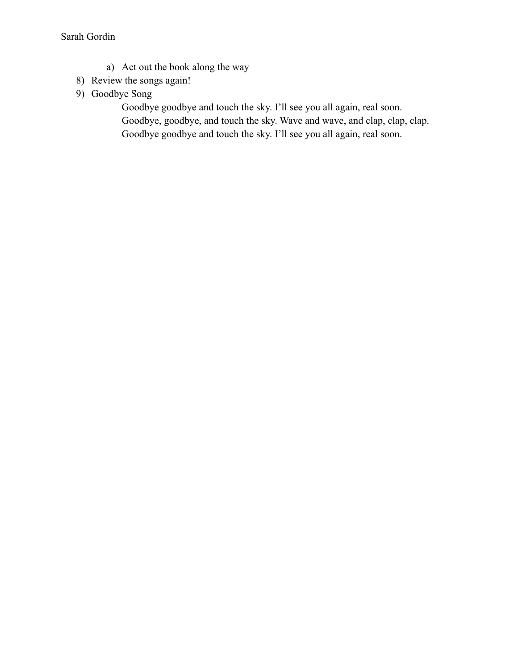- a) Act out the book along the way
- 8) Review the songs again!
- 9) Goodbye Song

Goodbye goodbye and touch the sky. I'll see you all again, real soon. Goodbye, goodbye, and touch the sky. Wave and wave, and clap, clap, clap. Goodbye goodbye and touch the sky. I'll see you all again, real soon.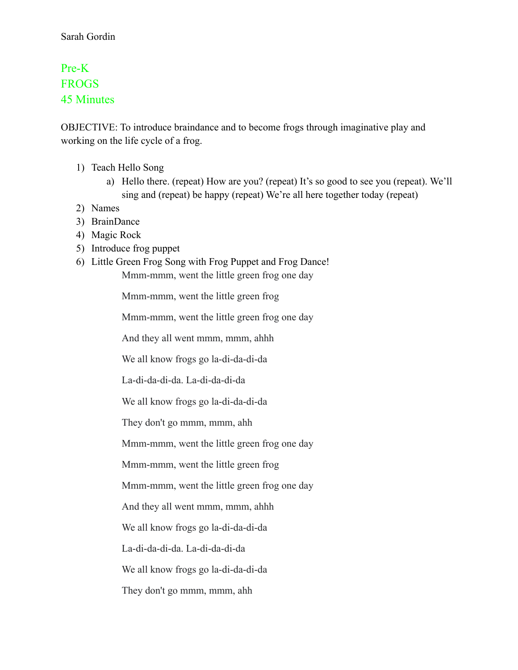## Pre-K **FROGS** 45 Minutes

OBJECTIVE: To introduce braindance and to become frogs through imaginative play and working on the life cycle of a frog.

- 1) Teach Hello Song
	- a) Hello there. (repeat) How are you? (repeat) It's so good to see you (repeat). We'll sing and (repeat) be happy (repeat) We're all here together today (repeat)
- 2) Names
- 3) BrainDance
- 4) Magic Rock
- 5) Introduce frog puppet
- 6) Little Green Frog Song with Frog Puppet and Frog Dance! Mmm-mmm, went the little green frog one day

Mmm-mmm, went the little green frog

Mmm-mmm, went the little green frog one day

And they all went mmm, mmm, ahhh

We all know frogs go la-di-da-di-da

La-di-da-di-da. La-di-da-di-da

We all know frogs go la-di-da-di-da

They don't go mmm, mmm, ahh

Mmm-mmm, went the little green frog one day

Mmm-mmm, went the little green frog

Mmm-mmm, went the little green frog one day

And they all went mmm, mmm, ahhh

We all know frogs go la-di-da-di-da

La-di-da-di-da. La-di-da-di-da

We all know frogs go la-di-da-di-da

They don't go mmm, mmm, ahh